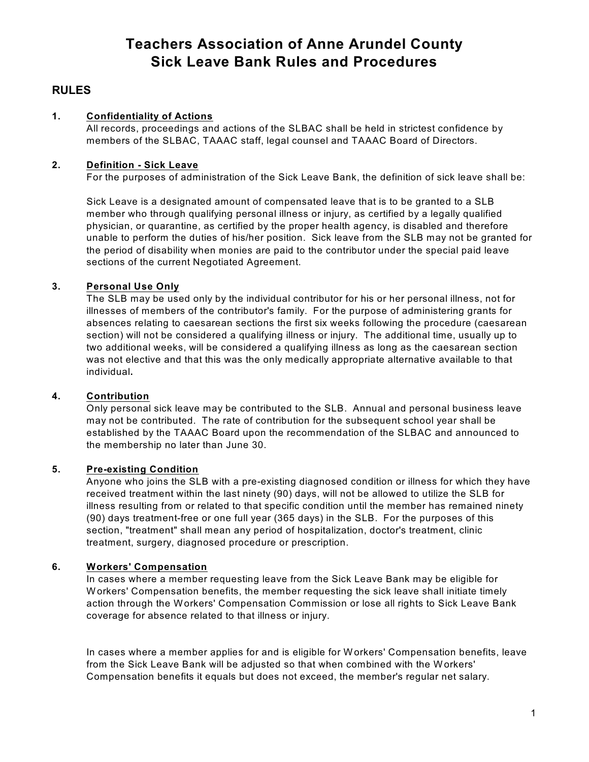# **Teachers Association of Anne Arundel County Sick Leave Bank Rules and Procedures**

# **RULES**

# **1. Confidentiality of Actions**

All records, proceedings and actions of the SLBAC shall be held in strictest confidence by members of the SLBAC, TAAAC staff, legal counsel and TAAAC Board of Directors.

# **2. Definition - Sick Leave**

For the purposes of administration of the Sick Leave Bank, the definition of sick leave shall be:

Sick Leave is a designated amount of compensated leave that is to be granted to a SLB member who through qualifying personal illness or injury, as certified by a legally qualified physician, or quarantine, as certified by the proper health agency, is disabled and therefore unable to perform the duties of his/her position. Sick leave from the SLB may not be granted for the period of disability when monies are paid to the contributor under the special paid leave sections of the current Negotiated Agreement.

# **3. Personal Use Only**

The SLB may be used only by the individual contributor for his or her personal illness, not for illnesses of members of the contributor's family. For the purpose of administering grants for absences relating to caesarean sections the first six weeks following the procedure (caesarean section) will not be considered a qualifying illness or injury. The additional time, usually up to two additional weeks, will be considered a qualifying illness as long as the caesarean section was not elective and that this was the only medically appropriate alternative available to that individual**.**

# **4. Contribution**

Only personal sick leave may be contributed to the SLB. Annual and personal business leave may not be contributed. The rate of contribution for the subsequent school year shall be established by the TAAAC Board upon the recommendation of the SLBAC and announced to the membership no later than June 30.

# **5. Pre-existing Condition**

Anyone who joins the SLB with a pre-existing diagnosed condition or illness for which they have received treatment within the last ninety (90) days, will not be allowed to utilize the SLB for illness resulting from or related to that specific condition until the member has remained ninety (90) days treatment-free or one full year (365 days) in the SLB. For the purposes of this section, "treatment" shall mean any period of hospitalization, doctor's treatment, clinic treatment, surgery, diagnosed procedure or prescription.

# **6. Workers' Compensation**

In cases where a member requesting leave from the Sick Leave Bank may be eligible for Workers' Compensation benefits, the member requesting the sick leave shall initiate timely action through the Workers' Compensation Commission or lose all rights to Sick Leave Bank coverage for absence related to that illness or injury.

In cases where a member applies for and is eligible for Workers' Compensation benefits, leave from the Sick Leave Bank will be adjusted so that when combined with the Workers' Compensation benefits it equals but does not exceed, the member's regular net salary.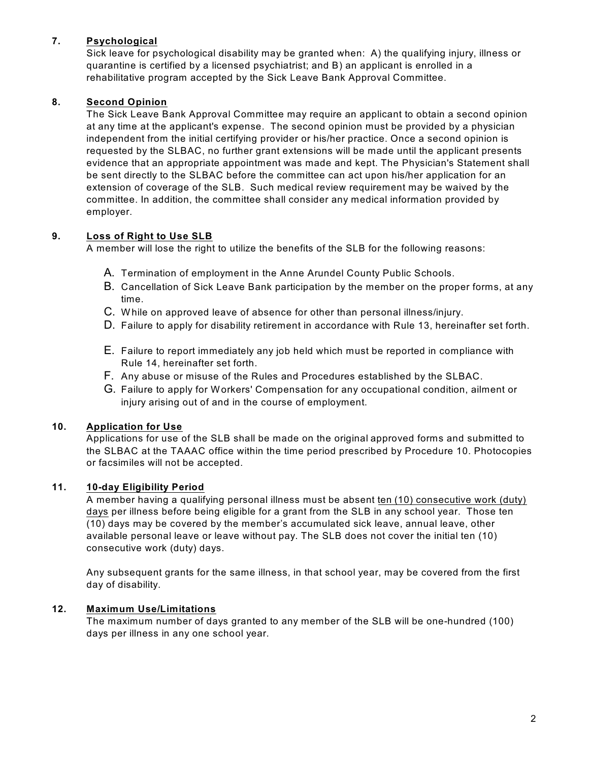# **7. Psychological**

Sick leave for psychological disability may be granted when: A) the qualifying injury, illness or quarantine is certified by a licensed psychiatrist; and B) an applicant is enrolled in a rehabilitative program accepted by the Sick Leave Bank Approval Committee.

# **8. Second Opinion**

The Sick Leave Bank Approval Committee may require an applicant to obtain a second opinion at any time at the applicant's expense. The second opinion must be provided by a physician independent from the initial certifying provider or his/her practice. Once a second opinion is requested by the SLBAC, no further grant extensions will be made until the applicant presents evidence that an appropriate appointment was made and kept. The Physician's Statement shall be sent directly to the SLBAC before the committee can act upon his/her application for an extension of coverage of the SLB. Such medical review requirement may be waived by the committee. In addition, the committee shall consider any medical information provided by employer.

# **9. Loss of Right to Use SLB**

A member will lose the right to utilize the benefits of the SLB for the following reasons:

- A. Termination of employment in the Anne Arundel County Public Schools.
- B. Cancellation of Sick Leave Bank participation by the member on the proper forms, at any time.
- C. While on approved leave of absence for other than personal illness/injury.
- D. Failure to apply for disability retirement in accordance with Rule 13, hereinafter set forth.
- E. Failure to report immediately any job held which must be reported in compliance with Rule 14, hereinafter set forth.
- F. Any abuse or misuse of the Rules and Procedures established by the SLBAC.
- G. Failure to apply for Workers' Compensation for any occupational condition, ailment or injury arising out of and in the course of employment.

# **10. Application for Use**

Applications for use of the SLB shall be made on the original approved forms and submitted to the SLBAC at the TAAAC office within the time period prescribed by Procedure 10. Photocopies or facsimiles will not be accepted.

# **11. 10-day Eligibility Period**

A member having a qualifying personal illness must be absent ten (10) consecutive work (duty) days per illness before being eligible for a grant from the SLB in any school year. Those ten (10) days may be covered by the member's accumulated sick leave, annual leave, other available personal leave or leave without pay. The SLB does not cover the initial ten (10) consecutive work (duty) days.

Any subsequent grants for the same illness, in that school year, may be covered from the first day of disability.

# **12. Maximum Use/Limitations**

The maximum number of days granted to any member of the SLB will be one-hundred (100) days per illness in any one school year.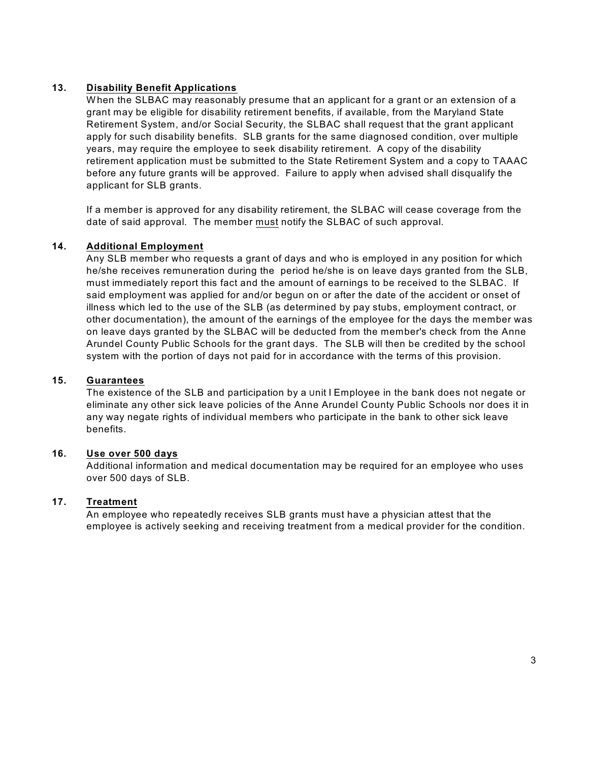# **13. Disability Benefit Applications**

When the SLBAC may reasonably presume that an applicant for a grant or an extension of a grant may be eligible for disability retirement benefits, if available, from the Maryland State Retirement System, and/or Social Security, the SLBAC shall request that the grant applicant apply for such disability benefits. SLB grants for the same diagnosed condition, over multiple years, may require the employee to seek disability retirement. A copy of the disability retirement application must be submitted to the State Retirement System and a copy to TAAAC before any future grants will be approved. Failure to apply when advised shall disqualify the applicant for SLB grants.

If a member is approved for any disability retirement, the SLBAC will cease coverage from the date of said approval. The member must notify the SLBAC of such approval.

# **14. Additional Employment**

Any SLB member who requests a grant of days and who is employed in any position for which he/she receives remuneration during the period he/she is on leave days granted from the SLB, must immediately report this fact and the amount of earnings to be received to the SLBAC. If said employment was applied for and/or begun on or after the date of the accident or onset of illness which led to the use of the SLB (as determined by pay stubs, employment contract, or other documentation), the amount of the earnings of the employee for the days the member was on leave days granted by the SLBAC will be deducted from the member's check from the Anne Arundel County Public Schools for the grant days. The SLB will then be credited by the school system with the portion of days not paid for in accordance with the terms of this provision.

# **15. Guarantees**

The existence of the SLB and participation by a Unit I Employee in the bank does not negate or eliminate any other sick leave policies of the Anne Arundel County Public Schools nor does it in any way negate rights of individual members who participate in the bank to other sick leave benefits.

#### **16. Use over 500 days**

Additional information and medical documentation may be required for an employee who uses over 500 days of SLB.

#### **17. Treatment**

An employee who repeatedly receives SLB grants must have a physician attest that the employee is actively seeking and receiving treatment from a medical provider for the condition.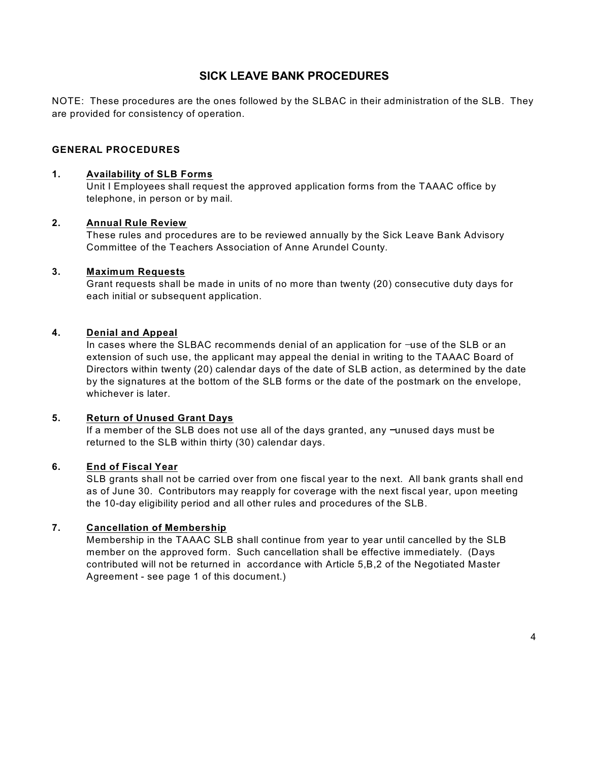# **SICK LEAVE BANK PROCEDURES**

NOTE: These procedures are the ones followed by the SLBAC in their administration of the SLB. They are provided for consistency of operation.

# **GENERAL PROCEDURES**

# **1. Availability of SLB Forms**

Unit I Employees shall request the approved application forms from the TAAAC office by telephone, in person or by mail.

#### **2. Annual Rule Review**

These rules and procedures are to be reviewed annually by the Sick Leave Bank Advisory Committee of the Teachers Association of Anne Arundel County.

#### **3. Maximum Requests**

Grant requests shall be made in units of no more than twenty (20) consecutive duty days for each initial or subsequent application.

#### **4. Denial and Appeal**

In cases where the SLBAC recommends denial of an application for -use of the SLB or an extension of such use, the applicant may appeal the denial in writing to the TAAAC Board of Directors within twenty (20) calendar days of the date of SLB action, as determined by the date by the signatures at the bottom of the SLB forms or the date of the postmark on the envelope, whichever is later.

### **5. Return of Unused Grant Days**

If a member of the SLB does not use all of the days granted, any  $\neg$ unused days must be returned to the SLB within thirty (30) calendar days.

#### **6. End of Fiscal Year**

SLB grants shall not be carried over from one fiscal year to the next. All bank grants shall end as of June 30. Contributors may reapply for coverage with the next fiscal year, upon meeting the 10-day eligibility period and all other rules and procedures of the SLB.

# **7. Cancellation of Membership**

Membership in the TAAAC SLB shall continue from year to year until cancelled by the SLB member on the approved form. Such cancellation shall be effective immediately. (Days contributed will not be returned in accordance with Article 5,B,2 of the Negotiated Master Agreement - see page 1 of this document.)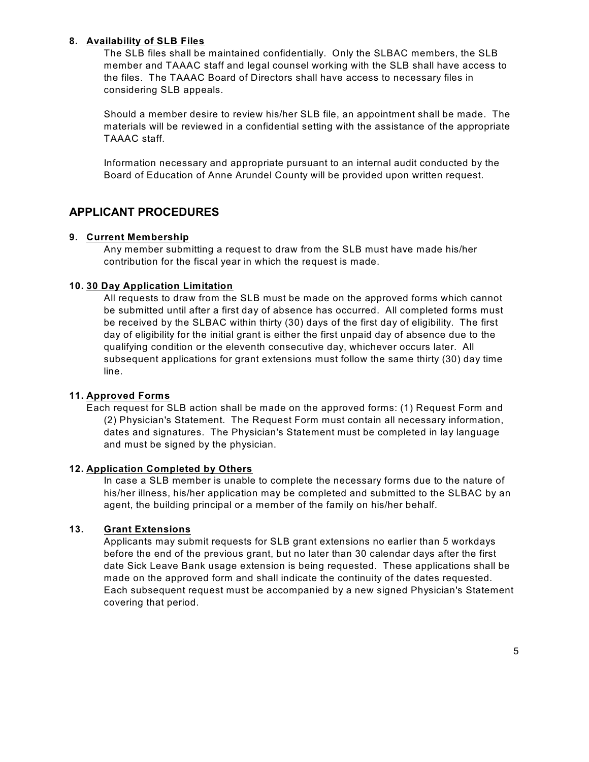# **8. Availability of SLB Files**

The SLB files shall be maintained confidentially. Only the SLBAC members, the SLB member and TAAAC staff and legal counsel working with the SLB shall have access to the files. The TAAAC Board of Directors shall have access to necessary files in considering SLB appeals.

Should a member desire to review his/her SLB file, an appointment shall be made. The materials will be reviewed in a confidential setting with the assistance of the appropriate TAAAC staff.

Information necessary and appropriate pursuant to an internal audit conducted by the Board of Education of Anne Arundel County will be provided upon written request.

# **APPLICANT PROCEDURES**

#### **9. Current Membership**

Any member submitting a request to draw from the SLB must have made his/her contribution for the fiscal year in which the request is made.

#### **10. 30 Day Application Limitation**

All requests to draw from the SLB must be made on the approved forms which cannot be submitted until after a first day of absence has occurred. All completed forms must be received by the SLBAC within thirty (30) days of the first day of eligibility. The first day of eligibility for the initial grant is either the first unpaid day of absence due to the qualifying condition or the eleventh consecutive day, whichever occurs later. All subsequent applications for grant extensions must follow the same thirty (30) day time line.

#### **11. Approved Forms**

Each request for SLB action shall be made on the approved forms: (1) Request Form and (2) Physician's Statement. The Request Form must contain all necessary information, dates and signatures. The Physician's Statement must be completed in lay language and must be signed by the physician.

#### **12. Application Completed by Others**

In case a SLB member is unable to complete the necessary forms due to the nature of his/her illness, his/her application may be completed and submitted to the SLBAC by an agent, the building principal or a member of the family on his/her behalf.

# **13. Grant Extensions**

Applicants may submit requests for SLB grant extensions no earlier than 5 workdays before the end of the previous grant, but no later than 30 calendar days after the first date Sick Leave Bank usage extension is being requested. These applications shall be made on the approved form and shall indicate the continuity of the dates requested. Each subsequent request must be accompanied by a new signed Physician's Statement covering that period.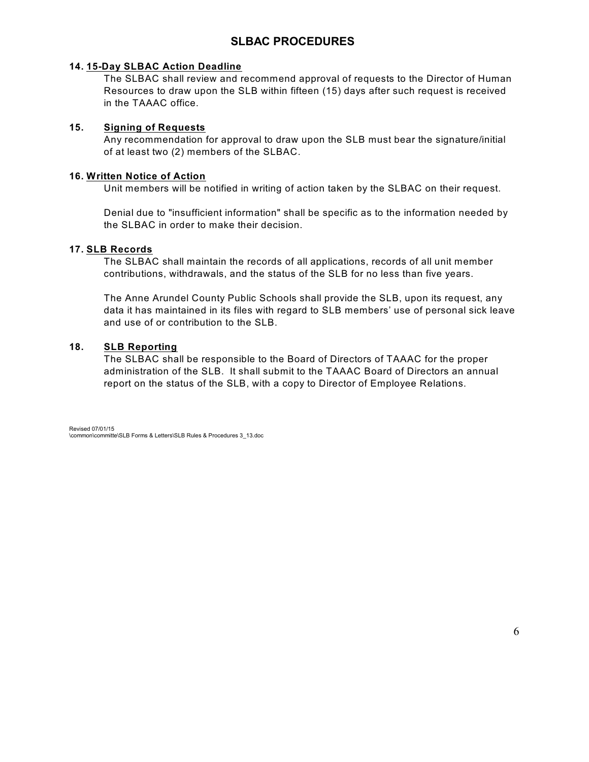# **SLBAC PROCEDURES**

# **14. 15-Day SLBAC Action Deadline**

The SLBAC shall review and recommend approval of requests to the Director of Human Resources to draw upon the SLB within fifteen (15) days after such request is received in the TAAAC office.

# **15. Signing of Requests**

Any recommendation for approval to draw upon the SLB must bear the signature/initial of at least two (2) members of the SLBAC.

# **16. Written Notice of Action**

Unit members will be notified in writing of action taken by the SLBAC on their request.

Denial due to "insufficient information" shall be specific as to the information needed by the SLBAC in order to make their decision.

# **17. SLB Records**

The SLBAC shall maintain the records of all applications, records of all unit member contributions, withdrawals, and the status of the SLB for no less than five years.

The Anne Arundel County Public Schools shall provide the SLB, upon its request, any data it has maintained in its files with regard to SLB members' use of personal sick leave and use of or contribution to the SLB.

# **18. SLB Reporting**

The SLBAC shall be responsible to the Board of Directors of TAAAC for the proper administration of the SLB. It shall submit to the TAAAC Board of Directors an annual report on the status of the SLB, with a copy to Director of Employee Relations.

Revised 07/01/15 \common\committe\SLB Forms & Letters\SLB Rules & Procedures 3\_13.doc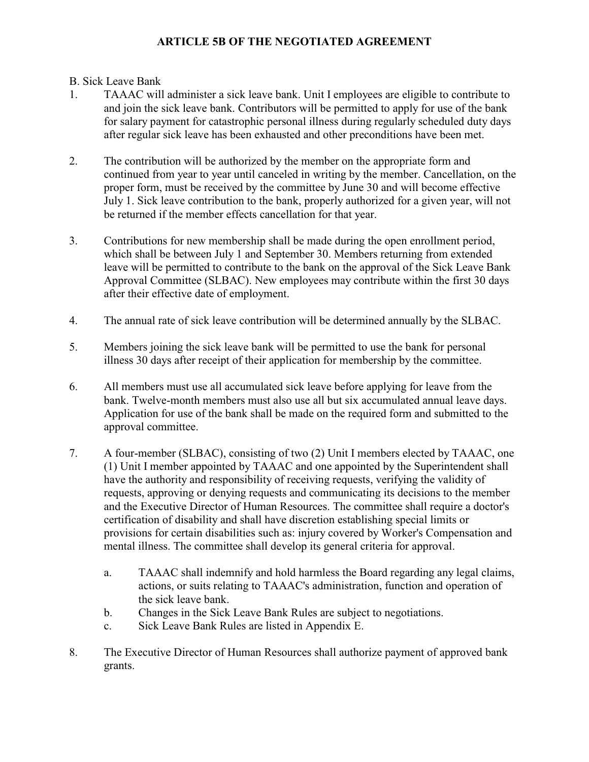# **ARTICLE 5B OF THE NEGOTIATED AGREEMENT**

# B. Sick Leave Bank

- 1. TAAAC will administer a sick leave bank. Unit I employees are eligible to contribute to and join the sick leave bank. Contributors will be permitted to apply for use of the bank for salary payment for catastrophic personal illness during regularly scheduled duty days after regular sick leave has been exhausted and other preconditions have been met.
- 2. The contribution will be authorized by the member on the appropriate form and continued from year to year until canceled in writing by the member. Cancellation, on the proper form, must be received by the committee by June 30 and will become effective July 1. Sick leave contribution to the bank, properly authorized for a given year, will not be returned if the member effects cancellation for that year.
- 3. Contributions for new membership shall be made during the open enrollment period, which shall be between July 1 and September 30. Members returning from extended leave will be permitted to contribute to the bank on the approval of the Sick Leave Bank Approval Committee (SLBAC). New employees may contribute within the first 30 days after their effective date of employment.
- 4. The annual rate of sick leave contribution will be determined annually by the SLBAC.
- 5. Members joining the sick leave bank will be permitted to use the bank for personal illness 30 days after receipt of their application for membership by the committee.
- 6. All members must use all accumulated sick leave before applying for leave from the bank. Twelve-month members must also use all but six accumulated annual leave days. Application for use of the bank shall be made on the required form and submitted to the approval committee.
- 7. A four-member (SLBAC), consisting of two (2) Unit I members elected by TAAAC, one (1) Unit I member appointed by TAAAC and one appointed by the Superintendent shall have the authority and responsibility of receiving requests, verifying the validity of requests, approving or denying requests and communicating its decisions to the member and the Executive Director of Human Resources. The committee shall require a doctor's certification of disability and shall have discretion establishing special limits or provisions for certain disabilities such as: injury covered by Worker's Compensation and mental illness. The committee shall develop its general criteria for approval.
	- a. TAAAC shall indemnify and hold harmless the Board regarding any legal claims, actions, or suits relating to TAAAC's administration, function and operation of the sick leave bank.
	- b. Changes in the Sick Leave Bank Rules are subject to negotiations.
	- c. Sick Leave Bank Rules are listed in Appendix E.
- 8. The Executive Director of Human Resources shall authorize payment of approved bank grants.